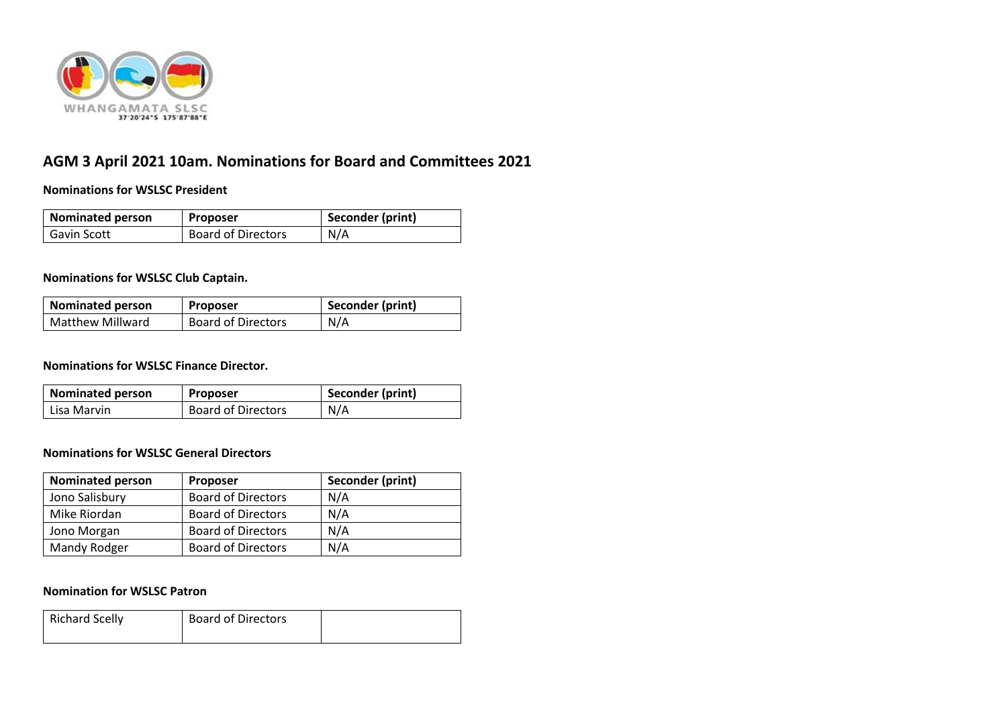

# **AGM 3 April 2021 10am. Nominations for Board and Committees 2021**

#### **Nominations for WSLSC President**

| <b>Nominated person</b> | <b>Proposer</b>           | Seconder (print) |
|-------------------------|---------------------------|------------------|
| <b>Gavin Scott</b>      | <b>Board of Directors</b> | N/A              |

#### **Nominations for WSLSC Club Captain.**

| <b>Nominated person</b> | <b>Proposer</b>           | Seconder (print) |
|-------------------------|---------------------------|------------------|
| <b>Matthew Millward</b> | <b>Board of Directors</b> | N/A              |

#### **Nominations for WSLSC Finance Director.**

| <b>Nominated person</b> | Proposer                  | Seconder (print) |
|-------------------------|---------------------------|------------------|
| Lisa Marvin             | <b>Board of Directors</b> | N/A              |

#### **Nominations for WSLSC General Directors**

| <b>Nominated person</b> | <b>Proposer</b>           | Seconder (print) |
|-------------------------|---------------------------|------------------|
| Jono Salisbury          | <b>Board of Directors</b> | N/A              |
| Mike Riordan            | <b>Board of Directors</b> | N/A              |
| Jono Morgan             | <b>Board of Directors</b> | N/A              |
| Mandy Rodger            | <b>Board of Directors</b> | N/A              |

### **Nomination for WSLSC Patron**

| <b>Richard Scelly</b> | <b>Board of Directors</b> |  |
|-----------------------|---------------------------|--|
|                       |                           |  |